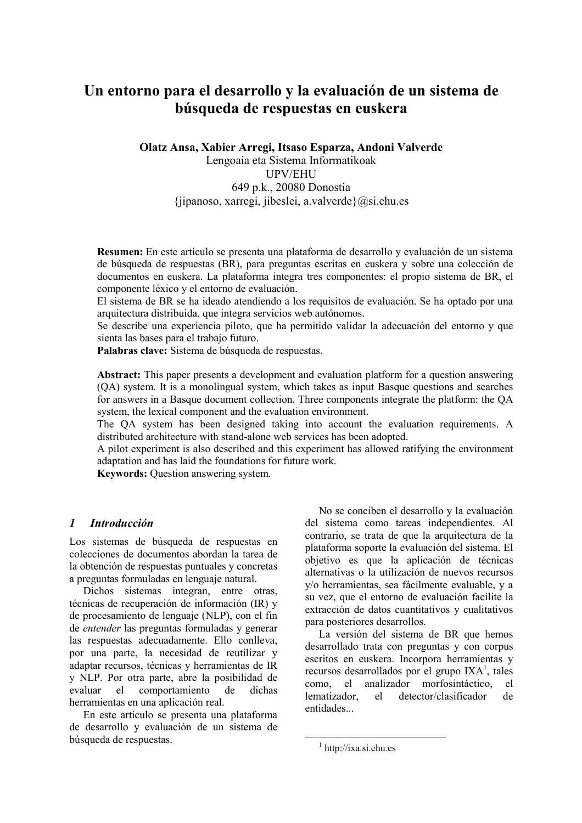# Un entorno para el desarrollo y la evaluación de un sistema de búsqueda de respuestas en euskera

Olatz Ansa, Xabier Arregi, Itsaso Esparza, Andoni Valverde Lengoaia eta Sistema Informatikoak **UPV/EHU** 649 p.k., 20080 Donostia  $\{ijpanoso, xarregi, jibeslei, a.value\} (a)si. ehu. es$ 

Resumen: En este artículo se presenta una plataforma de desarrollo y evaluación de un sistema de búsqueda de respuestas (BR), para preguntas escritas en euskera y sobre una colección de documentos en euskera. La plataforma integra tres componentes: el propio sistema de BR, el componente léxico y el entorno de evaluación.

El sistema de BR se ha ideado atendiendo a los requisitos de evaluación. Se ha optado por una arquitectura distribuida, que integra servicios web autónomos.

Se describe una experiencia piloto, que ha permitido validar la adecuación del entorno y que sienta las bases para el trabajo futuro.

Palabras clave: Sistema de búsqueda de respuestas.

Abstract: This paper presents a development and evaluation platform for a question answering (OA) system. It is a monolingual system, which takes as input Basque questions and searches for answers in a Basque document collection. Three components integrate the platform: the QA system, the lexical component and the evaluation environment.

The QA system has been designed taking into account the evaluation requirements. A distributed architecture with stand-alone web services has been adopted.

A pilot experiment is also described and this experiment has allowed ratifying the environment adaptation and has laid the foundations for future work.

Keywords: Question answering system.

## $\mathbf{I}$ **Introducción**

Los sistemas de búsqueda de respuestas en colecciones de documentos abordan la tarea de la obtención de respuestas puntuales y concretas a preguntas formuladas en lenguaje natural.

Dichos sistemas integran, entre otras, técnicas de recuperación de información (IR) y de procesamiento de lenguaje (NLP), con el fin de *entender* las preguntas formuladas y generar las respuestas adecuadamente. Ello conlleva, por una parte, la necesidad de reutilizar y adaptar recursos, técnicas y herramientas de IR y NLP. Por otra parte, abre la posibilidad de el comportamiento de dichas evaluar herramientas en una aplicación real.

En este artículo se presenta una plataforma de desarrollo y evaluación de un sistema de búsqueda de respuestas.

No se conciben el desarrollo y la evaluación del sistema como tareas independientes. Al contrario, se trata de que la arquitectura de la plataforma soporte la evaluación del sistema. El objetivo es que la aplicación de técnicas alternativas o la utilización de nuevos recursos y/o herramientas, sea fácilmente evaluable, y a su vez, que el entorno de evaluación facilite la extracción de datos cuantitativos y cualitativos para posteriores desarrollos.

La versión del sistema de BR que hemos desarrollado trata con preguntas y con corpus escritos en euskera. Incorpora herramientas y recursos desarrollados por el grupo IXA<sup>1</sup>, tales  $el$ analizador morfosintáctico, el como. lematizador. el detector/clasificador de entidades...

 $\frac{1}{1}$  http://ixa.si.ehu.es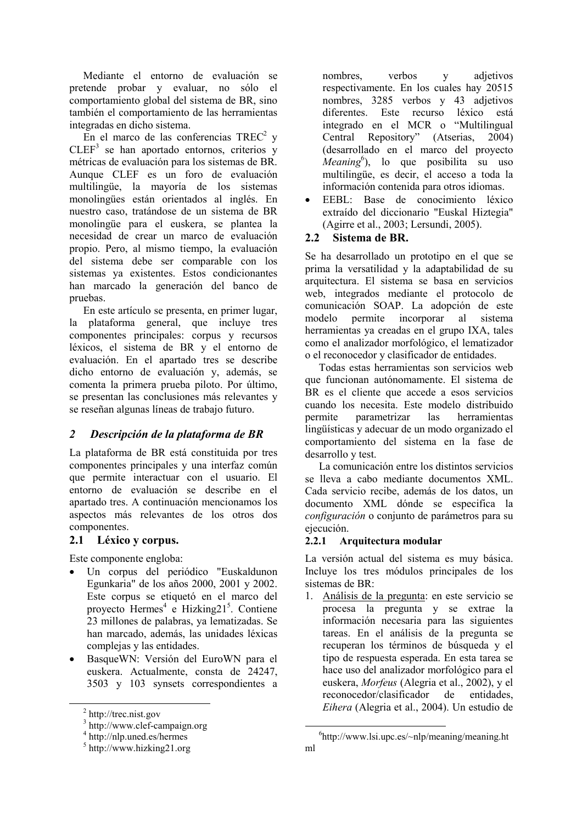Mediante el entorno de evaluación se pretende probar y evaluar, no sólo el comportamiento global del sistema de BR, sino también el comportamiento de las herramientas integradas en dicho sistema.

En el marco de las conferencias TREC<sup>2</sup> v  $CLEF<sup>3</sup>$  se han aportado entornos, criterios y métricas de evaluación para los sistemas de BR. Aunque CLEF es un foro de evaluación multilingüe, la mayoría de los sistemas monolingües están orientados al inglés. En nuestro caso, tratándose de un sistema de BR monolingüe para el euskera, se plantea la necesidad de crear un marco de evaluación propio. Pero, al mismo tiempo, la evaluación del sistema debe ser comparable con los sistemas va existentes. Estos condicionantes han marcado la generación del banco de pruebas.

En este artículo se presenta, en primer lugar. la plataforma general, que incluye tres componentes principales: corpus y recursos léxicos, el sistema de BR y el entorno de evaluación. En el apartado tres se describe dicho entorno de evaluación y, además, se comenta la primera prueba piloto. Por último, se presentan las conclusiones más relevantes y se reseñan algunas líneas de trabajo futuro.

## $\overline{2}$ Descripción de la plataforma de BR

La plataforma de BR está constituida por tres componentes principales y una interfaz común que permite interactuar con el usuario. El entorno de evaluación se describe en el apartado tres. A continuación mencionamos los aspectos más relevantes de los otros dos componentes.

## 2.1 Léxico v corpus.

Este componente engloba:

- Un corpus del periódico "Euskaldunon Egunkaria" de los años 2000, 2001 y 2002. Este corpus se etiquetó en el marco del proyecto Hermes<sup>4</sup> e Hizking21<sup>5</sup>. Contiene 23 millones de palabras, ya lematizadas. Se han marcado, además, las unidades léxicas complejas y las entidades.
- BasqueWN: Versión del EuroWN para el euskera. Actualmente, consta de 24247, 3503 y 103 synsets correspondientes a

nombres, verbos  $V$ adjetivos respectivamente. En los cuales hay 20515 nombres, 3285 verbos y 43 adjetivos diferentes. Este recurso léxico está integrado en el MCR o "Multilingual" Central Repository" (Atserias,  $2004$ (desarrollado en el marco del proyecto *Meaning*<sup>b</sup>), lo que posibilita su uso multilingüe, es decir, el acceso a toda la información contenida para otros idiomas.

EEBL: Base de conocimiento léxico  $\bullet$ extraído del diccionario "Euskal Hiztegia" (Agirre et al., 2003; Lersundi, 2005).

## $2.2^{\circ}$ Sistema de BR.

Se ha desarrollado un prototipo en el que se prima la versatilidad y la adaptabilidad de su arquitectura. El sistema se basa en servicios web, integrados mediante el protocolo de comunicación SOAP. La adopción de este modelo permite incorporar al sistema herramientas va creadas en el grupo IXA, tales como el analizador morfológico, el lematizador o el reconocedor y clasificador de entidades.

Todas estas herramientas son servicios web que funcionan autónomamente. El sistema de BR es el cliente que accede a esos servicios cuando los necesita. Este modelo distribuido permite parametrizar las herramientas lingüísticas y adecuar de un modo organizado el comportamiento del sistema en la fase de desarrollo y test.

La comunicación entre los distintos servicios se lleva a cabo mediante documentos XML. Cada servicio recibe, además de los datos, un documento XML dónde se especifica la *configuración* o conjunto de parámetros para su ejecución.

## Arquitectura modular  $2.2.1$

La versión actual del sistema es muy básica. Incluye los tres módulos principales de los sistemas de BR:

1. Análisis de la pregunta: en este servicio se procesa la pregunta y se extrae la información necesaria para las siguientes tareas. En el análisis de la pregunta se recuperan los términos de búsqueda y el tipo de respuesta esperada. En esta tarea se hace uso del analizador morfológico para el euskera, *Morfeus* (Alegria et al., 2002), y el reconocedor/clasificador de entidades. Eihera (Alegria et al., 2004). Un estudio de

 $2$  http://trec.nist.gov

 $3$  http://www.clef-campaign.org

 $4$  http://nlp.uned.es/hermes

 $5$  http://www.hizking21.org

 $^{6}$ http://www.lsi.upc.es/~nlp/meaning/meaning.ht ml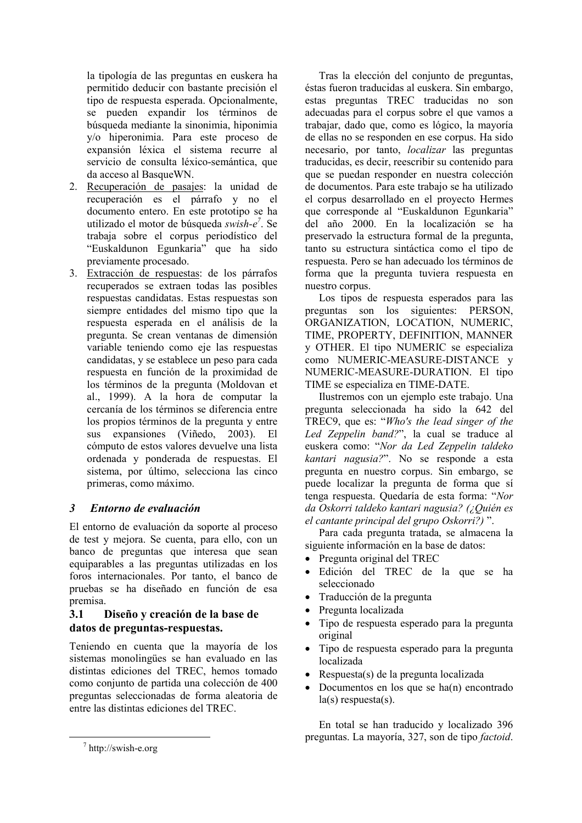la tipología de las preguntas en euskera ha permitido deducir con bastante precisión el tipo de respuesta esperada. Opcionalmente, se pueden expandir los términos de búsqueda mediante la sinonimia, hiponimia y/o hiperonimia. Para este proceso de expansión léxica el sistema recurre al servicio de consulta léxico-semántica, que da acceso al BasqueWN.

- 2. Recuperación de pasajes: la unidad de recuperación es el párrafo y no el documento entero. En este prototipo se ha utilizado el motor de búsqueda swish-e<sup>7</sup>. Se trabaja sobre el corpus periodístico del "Euskaldunon Egunkaria" que ha sido previamente procesado.
- 3. Extracción de respuestas: de los párrafos recuperados se extraen todas las posibles respuestas candidatas. Estas respuestas son siempre entidades del mismo tipo que la respuesta esperada en el análisis de la pregunta. Se crean ventanas de dimensión variable teniendo como eje las respuestas candidatas, y se establece un peso para cada respuesta en función de la proximidad de los términos de la pregunta (Moldovan et al., 1999). A la hora de computar la cercanía de los términos se diferencia entre los propios términos de la pregunta y entre sus expansiones (Viñedo, 2003). El cómputo de estos valores devuelve una lista ordenada y ponderada de respuestas. El sistema, por último, selecciona las cinco primeras, como máximo.

## $\mathbf{3}$ Entorno de evaluación

El entorno de evaluación da soporte al proceso de test y mejora. Se cuenta, para ello, con un banco de preguntas que interesa que sean equiparables a las preguntas utilizadas en los foros internacionales. Por tanto, el banco de pruebas se ha diseñado en función de esa premisa.

## $3.1$ Diseño y creación de la base de datos de preguntas-respuestas.

Teniendo en cuenta que la mayoría de los sistemas monolingües se han evaluado en las distintas ediciones del TREC, hemos tomado como conjunto de partida una colección de 400 preguntas seleccionadas de forma aleatoria de entre las distintas ediciones del TREC.

Tras la elección del conjunto de preguntas, éstas fueron traducidas al euskera. Sin embargo, estas preguntas TREC traducidas no son adecuadas para el corpus sobre el que vamos a trabajar, dado que, como es lógico, la mayoría de ellas no se responden en ese corpus. Ha sido necesario, por tanto, *localizar* las preguntas traducidas, es decir, reescribir su contenido para que se puedan responder en nuestra colección de documentos. Para este trabajo se ha utilizado el corpus desarrollado en el proyecto Hermes que corresponde al "Euskaldunon Egunkaria" del año 2000. En la localización se ha preservado la estructura formal de la pregunta. tanto su estructura sintáctica como el tipo de respuesta. Pero se han adecuado los términos de forma que la pregunta tuviera respuesta en nuestro corpus.

Los tipos de respuesta esperados para las preguntas son los siguientes: PERSON, ORGANIZATION, LOCATION, NUMERIC, TIME, PROPERTY, DEFINITION, MANNER y OTHER. El tipo NUMERIC se especializa como NUMERIC-MEASURE-DISTANCE y NUMERIC-MEASURE-DURATION. El tipo TIME se especializa en TIME-DATE.

Ilustremos con un ejemplo este trabajo. Una pregunta seleccionada ha sido la 642 del TREC9, que es: "Who's the lead singer of the Led Zeppelin band?", la cual se traduce al euskera como: "Nor da Led Zeppelin taldeko kantari nagusia?". No se responde a esta pregunta en nuestro corpus. Sin embargo, se puede localizar la pregunta de forma que sí tenga respuesta. Quedaría de esta forma: "Nor da Oskorri taldeko kantari nagusia? (¿Quién es el cantante principal del grupo Oskorri?)".

Para cada pregunta tratada, se almacena la siguiente información en la base de datos:

- Pregunta original del TREC
- · Edición del TREC de la que se ha seleccionado
- Traducción de la pregunta
- Pregunta localizada  $\bullet$
- Tipo de respuesta esperado para la pregunta original
- Tipo de respuesta esperado para la pregunta localizada
- Respuesta(s) de la pregunta localizada
- Documentos en los que se ha $(n)$  encontrado  $la(s)$  respuesta $(s)$ .

En total se han traducido y localizado 396 preguntas. La mayoría, 327, son de tipo *factoid*.

 $\frac{7}{1}$  http://swish-e.org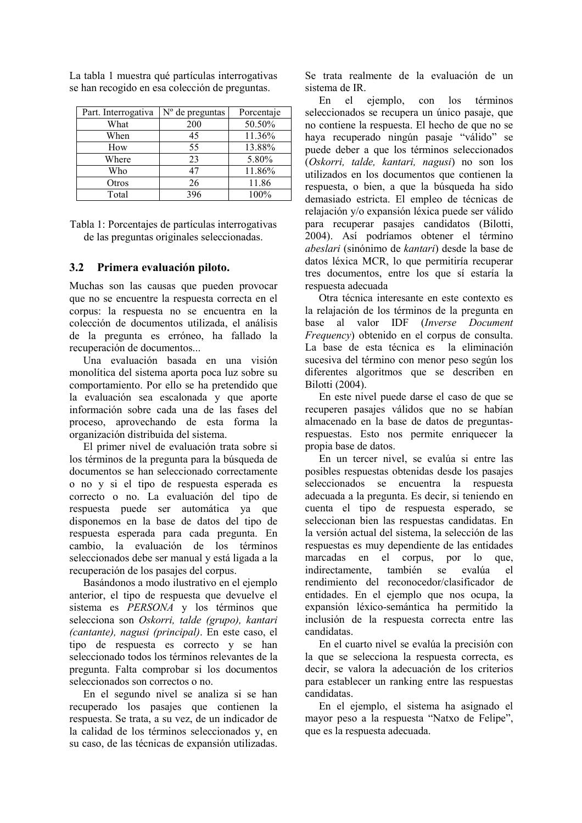| Part. Interrogativa | $No$ de preguntas | Porcentaje |
|---------------------|-------------------|------------|
| What                | 200               | 50.50%     |
| When                | 45                | 11.36%     |
| How                 | 55                | 13.88%     |
| Where               | 23                | 5.80%      |
| Who                 | 47                | 11.86%     |
| Otros               | 26                | 11.86      |
| Total               | 396               | 100%       |

La tabla 1 muestra qué partículas interrogativas se han recogido en esa colección de preguntas.

Tabla 1: Porcentajes de partículas interrogativas de las preguntas originales seleccionadas.

#### $3.2$ Primera evaluación piloto.

Muchas son las causas que pueden provocar que no se encuentre la respuesta correcta en el corpus: la respuesta no se encuentra en la colección de documentos utilizada, el análisis de la pregunta es erróneo, ha fallado la recuperación de documentos...

Una evaluación basada en una visión monolítica del sistema aporta poca luz sobre su comportamiento. Por ello se ha pretendido que la evaluación sea escalonada y que aporte información sobre cada una de las fases del proceso, aprovechando de esta forma la organización distribuida del sistema.

El primer nivel de evaluación trata sobre si los términos de la pregunta para la búsqueda de documentos se han seleccionado correctamente o no y si el tipo de respuesta esperada es correcto o no. La evaluación del tipo de respuesta puede ser automática va que disponemos en la base de datos del tipo de respuesta esperada para cada pregunta. En cambio. la evaluación de los términos seleccionados debe ser manual y está ligada a la recuperación de los pasajes del corpus.

Basándonos a modo ilustrativo en el ejemplo anterior, el tipo de respuesta que devuelve el sistema es PERSONA y los términos que selecciona son Oskorri, talde (grupo), kantari (cantante), nagusi (principal). En este caso, el tipo de respuesta es correcto y se han seleccionado todos los términos relevantes de la pregunta Falta comprobar si los documentos seleccionados son correctos o no.

En el segundo nivel se analiza si se han recuperado los pasajes que contienen la respuesta. Se trata, a su vez, de un indicador de la calidad de los términos seleccionados y, en su caso, de las técnicas de expansión utilizadas. Se trata realmente de la evaluación de un sistema de IR.

En el ejemplo, con  $\log$ términos seleccionados se recupera un único pasaie, que no contiene la respuesta. El hecho de que no se haya recuperado ningún pasaje "válido" se puede deber a que los términos seleccionados (Oskorri, talde, kantari, nagusi) no son los utilizados en los documentos que contienen la respuesta, o bien, a que la búsqueda ha sido demasiado estricta. El empleo de técnicas de relajación v/o expansión léxica puede ser válido para recuperar pasajes candidatos (Bilotti, 2004). Así podríamos obtener el término *abeslari* (sinónimo de *kantari*) desde la base de datos léxica MCR, lo que permitiría recuperar tres documentos, entre los que sí estaría la respuesta adecuada

Otra técnica interesante en este contexto es la relajación de los términos de la pregunta en base al valor IDF (Inverse Document *Frequency*) obtenido en el corpus de consulta. La base de esta técnica es la eliminación sucesiva del término con menor peso según los diferentes algoritmos que se describen en Bilotti (2004).

En este nivel puede darse el caso de que se recuperen pasajes válidos que no se habían almacenado en la base de datos de preguntasrespuestas. Esto nos permite enriquecer la propia base de datos.

En un tercer nivel, se evalúa si entre las posibles respuestas obtenidas desde los pasajes seleccionados se encuentra la respuesta adecuada a la pregunta. Es decir, si teniendo en cuenta el tipo de respuesta esperado, se seleccionan bien las respuestas candidatas. En la versión actual del sistema, la selección de las respuestas es muy dependiente de las entidades marcadas en el corpus, por lo que. indirectamente. también se evalúa el rendimiento del reconocedor/clasificador de entidades. En el ejemplo que nos ocupa, la expansión léxico-semántica ha permitido la inclusión de la respuesta correcta entre las candidatas

En el cuarto nivel se evalúa la precisión con la que se selecciona la respuesta correcta, es decir, se valora la adecuación de los criterios para establecer un ranking entre las respuestas candidatas.

En el ejemplo, el sistema ha asignado el mayor peso a la respuesta "Natxo de Felipe", que es la respuesta adecuada.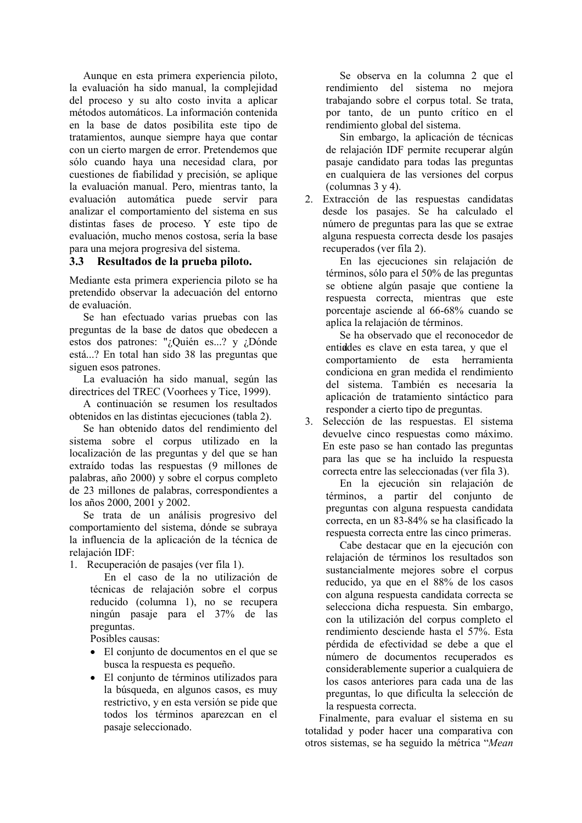Aunque en esta primera experiencia piloto, la evaluación ha sido manual, la complejidad del proceso y su alto costo invita a aplicar métodos automáticos. La información contenida en la base de datos posibilita este tipo de tratamientos, aunque siempre haya que contar con un cierto margen de error. Pretendemos que sólo cuando haya una necesidad clara, por cuestiones de fiabilidad y precisión, se aplique la evaluación manual. Pero, mientras tanto, la evaluación automática puede servir para analizar el comportamiento del sistema en sus distintas fases de proceso. Y este tipo de evaluación, mucho menos costosa, sería la base para una mejora progresiva del sistema.

## $3.3$ Resultados de la prueba piloto.

Mediante esta primera experiencia piloto se ha pretendido observar la adecuación del entorno de evaluación.

Se han efectuado varias pruebas con las preguntas de la base de datos que obedecen a estos dos patrones: "¿Quién es...? y ¿Dónde está...? En total han sido 38 las preguntas que siguen esos patrones.

La evaluación ha sido manual, según las directrices del TREC (Voorhees y Tice, 1999).

A continuación se resumen los resultados obtenidos en las distintas ejecuciones (tabla 2).

Se han obtenido datos del rendimiento del sistema sobre el corpus utilizado en la localización de las preguntas y del que se han extraído todas las respuestas (9 millones de palabras, año 2000) y sobre el corpus completo de 23 millones de palabras, correspondientes a los años 2000, 2001 y 2002.

Se trata de un análisis progresivo del comportamiento del sistema, dónde se subraya la influencia de la aplicación de la técnica de relajación IDF:

1. Recuperación de pasajes (ver fila 1).

En el caso de la no utilización de técnicas de relajación sobre el corpus reducido (columna 1), no se recupera ningún pasaje para el 37% de las preguntas.

Posibles causas:

- El conjunto de documentos en el que se busca la respuesta es pequeño.
- · El conjunto de términos utilizados para la búsqueda, en algunos casos, es muy restrictivo, y en esta versión se pide que todos los términos aparezcan en el pasaje seleccionado.

Se observa en la columna 2 que el rendimiento del sistema no meiora trabajando sobre el corpus total. Se trata, por tanto, de un punto crítico en el rendimiento global del sistema.

Sin embargo, la aplicación de técnicas de relajación IDF permite recuperar algún pasaje candidato para todas las preguntas en cualquiera de las versiones del corpus (columnas  $3 y 4$ ).

2. Extracción de las respuestas candidatas desde los pasajes. Se ha calculado el número de preguntas para las que se extrae alguna respuesta correcta desde los pasajes recuperados (ver fila 2).

En las ejecuciones sin relajación de términos, sólo para el 50% de las preguntas se obtiene algún pasaje que contiene la respuesta correcta, mientras que este porcentaje asciende al 66-68% cuando se aplica la relajación de términos.

Se ha observado que el reconocedor de entiddes es clave en esta tarea, y que el comportamiento de esta herramienta condiciona en gran medida el rendimiento del sistema. También es necesaria la aplicación de tratamiento sintáctico para responder a cierto tipo de preguntas.

 $3.$ Selección de las respuestas. El sistema devuelve cinco respuestas como máximo. En este paso se han contado las preguntas para las que se ha incluido la respuesta correcta entre las seleccionadas (ver fila 3).

En la ejecución sin relajación de términos, a partir del conjunto de preguntas con alguna respuesta candidata correcta, en un 83-84% se ha clasificado la respuesta correcta entre las cinco primeras.

Cabe destacar que en la ejecución con relajación de términos los resultados son sustancialmente mejores sobre el corpus reducido, ya que en el 88% de los casos con alguna respuesta candidata correcta se selecciona dicha respuesta. Sin embargo, con la utilización del corpus completo el rendimiento desciende hasta el 57%. Esta pérdida de efectividad se debe a que el número de documentos recuperados es considerablemente superior a cualquiera de los casos anteriores para cada una de las preguntas, lo que dificulta la selección de la respuesta correcta.

Finalmente, para evaluar el sistema en su totalidad y poder hacer una comparativa con otros sistemas, se ha seguido la métrica "Mean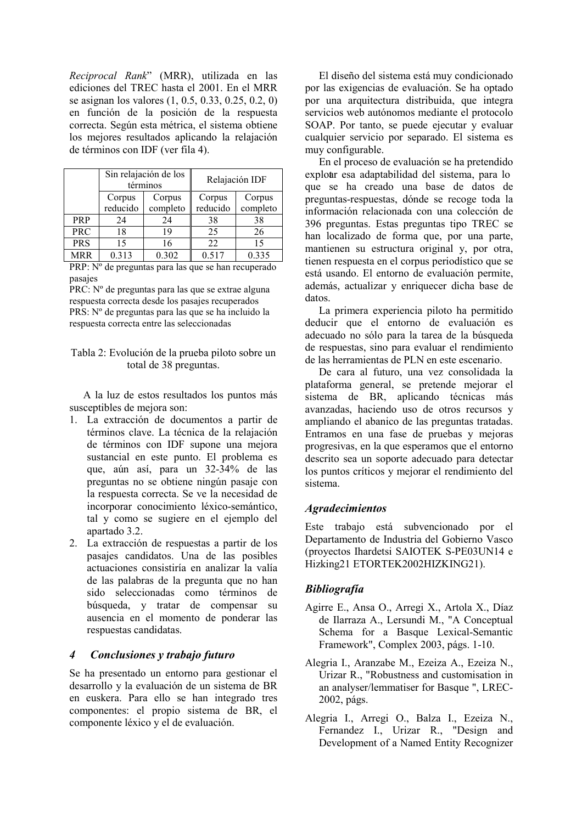Reciprocal Rank" (MRR), utilizada en las ediciones del TREC hasta el 2001. En el MRR se asignan los valores (1, 0.5, 0.33, 0.25, 0.2, 0) en función de la posición de la respuesta correcta. Según esta métrica, el sistema obtiene los mejores resultados aplicando la relajación de términos con IDF (ver fila 4).

|            | Sin relajación de los<br>términos |          | Relajación IDF |          |
|------------|-----------------------------------|----------|----------------|----------|
|            | Corpus                            | Corpus   | Corpus         | Corpus   |
|            | reducido                          | completo | reducido       | completo |
| <b>PRP</b> | 24                                | 24       | 38             | 38       |
| <b>PRC</b> | 18                                | 19       | 25             | 26       |
| <b>PRS</b> | 15                                | 16       | 22             | 15       |
| <b>MRR</b> | 0.313                             | 0.302    | 0.517          | 0.335    |

PRP: Nº de preguntas para las que se han recuperado pasajes

PRC: Nº de preguntas para las que se extrae alguna respuesta correcta desde los pasajes recuperados PRS: Nº de preguntas para las que se ha incluido la respuesta correcta entre las seleccionadas

Tabla 2: Evolución de la prueba piloto sobre un total de 38 preguntas.

A la luz de estos resultados los puntos más susceptibles de mejora son:

- 1. La extracción de documentos a partir de términos clave. La técnica de la relajación de términos con IDF supone una mejora sustancial en este punto. El problema es que, aún así, para un 32-34% de las preguntas no se obtiene ningún pasaje con la respuesta correcta. Se ve la necesidad de incorporar conocimiento léxico-semántico, tal y como se sugiere en el ejemplo del apartado 3.2.
- 2. La extracción de respuestas a partir de los pasajes candidatos. Una de las posibles actuaciones consistiría en analizar la valía de las palabras de la pregunta que no han sido seleccionadas como términos de búsqueda, y tratar de compensar su ausencia en el momento de ponderar las respuestas candidatas.

### $\boldsymbol{4}$ Conclusiones y trabajo futuro

Se ha presentado un entorno para gestionar el desarrollo y la evaluación de un sistema de BR en euskera. Para ello se han integrado tres componentes: el propio sistema de BR, el componente léxico y el de evaluación.

El diseño del sistema está muy condicionado por las exigencias de evaluación. Se ha optado por una arquitectura distribuida, que integra servicios web autónomos mediante el protocolo SOAP. Por tanto, se puede ejecutar y evaluar cualquier servicio por separado. El sistema es muy configurable.

En el proceso de evaluación se ha pretendido exploar esa adaptabilidad del sistema, para lo que se ha creado una base de datos de preguntas-respuestas, dónde se recoge toda la información relacionada con una colección de 396 preguntas. Estas preguntas tipo TREC se han localizado de forma que, por una parte, mantienen su estructura original y, por otra, tienen respuesta en el corpus periodístico que se está usando. El entorno de evaluación permite, además, actualizar y enriquecer dicha base de datos.

La primera experiencia piloto ha permitido deducir que el entorno de evaluación es adecuado no sólo para la tarea de la búsqueda de respuestas, sino para evaluar el rendimiento de las herramientas de PLN en este escenario.

De cara al futuro, una vez consolidada la plataforma general, se pretende mejorar el sistema de BR, aplicando técnicas más avanzadas, haciendo uso de otros recursos y ampliando el abanico de las preguntas tratadas. Entramos en una fase de pruebas y mejoras progresivas, en la que esperamos que el entorno descrito sea un soporte adecuado para detectar los puntos críticos y mejorar el rendimiento del sistema

## **Agradecimientos**

Este trabajo está subvencionado por el Departamento de Industria del Gobierno Vasco (provectos Ihardetsi SAIOTEK S-PE03UN14 e Hizking21 ETORTEK2002HIZKING21).

## **Bibliografía**

- Agirre E., Ansa O., Arregi X., Artola X., Díaz de Ilarraza A., Lersundi M., "A Conceptual Schema for a Basque Lexical-Semantic Framework", Complex 2003, págs. 1-10.
- Alegria I., Aranzabe M., Ezeiza A., Ezeiza N., Urizar R., "Robustness and customisation in an analyser/lemmatiser for Basque ", LREC-2002, págs.
- Alegria I., Arregi O., Balza I., Ezeiza N., Fernandez I., Urizar R., "Design and Development of a Named Entity Recognizer